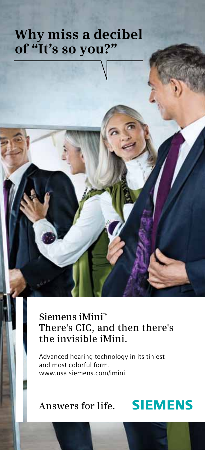### **Why miss a decibel of "It's so you?"**

**Siemens iMini**™ **There's CIC, and then there's the invisible iMini.**

Advanced hearing technology in its tiniest and most colorful form. www.usa.siemens.com/imini

### **Answers for life.**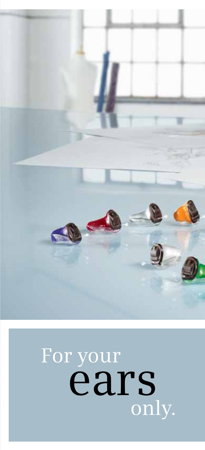

## For your ears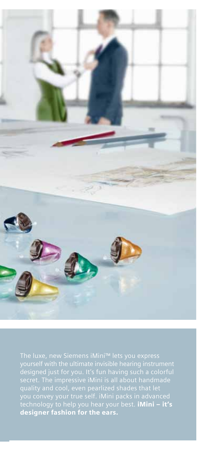

technology to help you hear your best. **iMini – it's** designer fashion for the ears.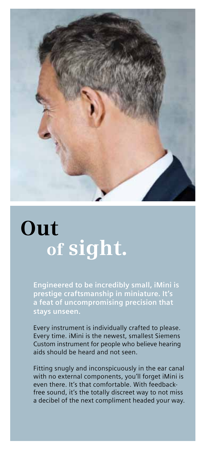

## **Out of sight.**

**Engineered to be incredibly small, iMini is prestige craftsmanship in miniature. It's a feat of uncompromising precision that stays unseen.**

Every instrument is individually crafted to please. Every time. iMini is the newest, smallest Siemens Custom instrument for people who believe hearing aids should be heard and not seen.

Fitting snugly and inconspicuously in the ear canal with no external components, you'll forget iMini is even there. It's that comfortable. With feedbackfree sound, it's the totally discreet way to not miss a decibel of the next compliment headed your way.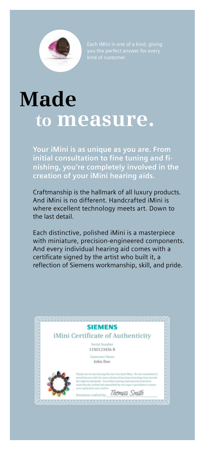

## **Made to measure.**

**Your iMini is as unique as you are. From initial consultation to fine tuning and finishing, you're completely involved in the creation of your iMini hearing aids.**

Craftmanship is the hallmark of all luxury products. And iMini is no different. Handcrafted iMini is where excellent technology meets art. Down to the last detail.

Each distinctive, polished iMini is a masterpiece with miniature, precision-engineered components. And every individual hearing aid comes with a certificate signed by the artist who built it, a reflection of Siemens workmanship, skill, and pride.

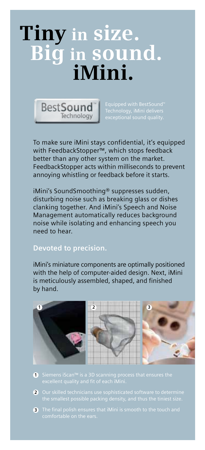## **Tiny in size. Big in sound. iMini.**



To make sure iMini stays confidential, it's equipped with FeedbackStopper™, which stops feedback better than any other system on the market. FeedbackStopper acts within milliseconds to prevent annoying whistling or feedback before it starts.

iMini's SoundSmoothing® suppresses sudden, disturbing noise such as breaking glass or dishes clanking together. And iMini's Speech and Noise Management automatically reduces background noise while isolating and enhancing speech you need to hear.

### **Devoted to precision.**

iMini's miniature components are optimally positioned with the help of computer-aided design. Next, iMini is meticulously assembled, shaped, and finished by hand.



- **1**
- **2**
- **3** The final polish ensures that *iMini is smooth to the touch and*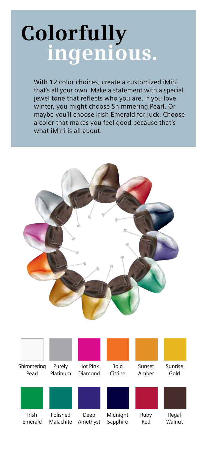# **Colorfully ingenious.**

With 12 color choices, create a customized iMini that's all your own. Make a statement with a special jewel tone that reflects who you are. If you love winter, you might choose Shimmering Pearl. Or maybe you'll choose Irish Emerald for luck. Choose a color that makes you feel good because that's what iMini is all about.